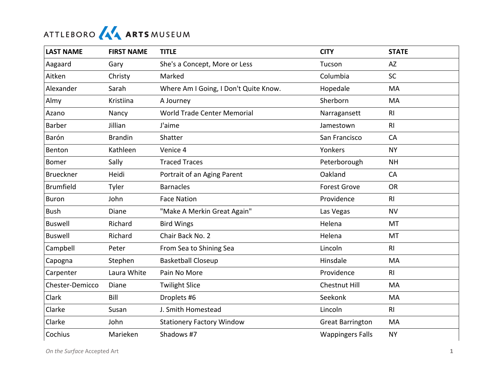## ATTLEBORO AA ARTS MUSEUM

| <b>LAST NAME</b> | <b>FIRST NAME</b> | <b>TITLE</b>                          | <b>CITY</b>             | <b>STATE</b>   |
|------------------|-------------------|---------------------------------------|-------------------------|----------------|
| Aagaard          | Gary              | She's a Concept, More or Less         | Tucson                  | <b>AZ</b>      |
| Aitken           | Christy           | Marked                                | Columbia                | <b>SC</b>      |
| Alexander        | Sarah             | Where Am I Going, I Don't Quite Know. | Hopedale                | MA             |
| Almy             | Kristiina         | A Journey                             | Sherborn                | MA             |
| Azano            | Nancy             | World Trade Center Memorial           | Narragansett            | R <sub>l</sub> |
| <b>Barber</b>    | Jillian           | J'aime                                | Jamestown               | R <sub>l</sub> |
| Barón            | <b>Brandin</b>    | Shatter                               | San Francisco           | CA             |
| Benton           | Kathleen          | Venice 4                              | Yonkers                 | <b>NY</b>      |
| <b>Bomer</b>     | Sally             | <b>Traced Traces</b>                  | Peterborough            | <b>NH</b>      |
| <b>Brueckner</b> | Heidi             | Portrait of an Aging Parent           | Oakland                 | CA             |
| <b>Brumfield</b> | Tyler             | <b>Barnacles</b>                      | <b>Forest Grove</b>     | <b>OR</b>      |
| <b>Buron</b>     | John              | <b>Face Nation</b>                    | Providence              | R <sub>l</sub> |
| <b>Bush</b>      | Diane             | "Make A Merkin Great Again"           | Las Vegas               | <b>NV</b>      |
| <b>Buswell</b>   | Richard           | <b>Bird Wings</b>                     | Helena                  | MT             |
| <b>Buswell</b>   | Richard           | Chair Back No. 2                      | Helena                  | MT             |
| Campbell         | Peter             | From Sea to Shining Sea               | Lincoln                 | R <sub>l</sub> |
| Capogna          | Stephen           | <b>Basketball Closeup</b>             | Hinsdale                | <b>MA</b>      |
| Carpenter        | Laura White       | Pain No More                          | Providence              | R <sub>l</sub> |
| Chester-Demicco  | Diane             | <b>Twilight Slice</b>                 | Chestnut Hill           | MA             |
| Clark            | Bill              | Droplets #6                           | Seekonk                 | MA             |
| Clarke           | Susan             | J. Smith Homestead                    | Lincoln                 | R <sub>l</sub> |
| Clarke           | John              | <b>Stationery Factory Window</b>      | <b>Great Barrington</b> | MA             |
| Cochius          | Marieken          | Shadows #7                            | <b>Wappingers Falls</b> | <b>NY</b>      |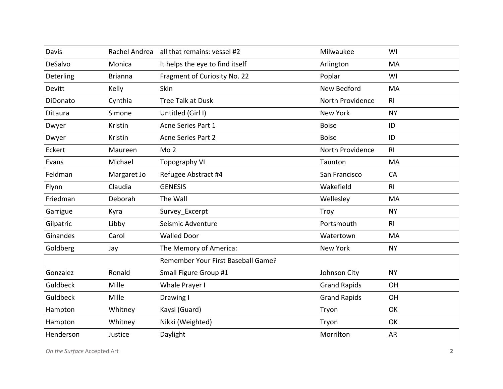| Davis          |                | Rachel Andrea all that remains: vessel #2 | Milwaukee           | WI             |
|----------------|----------------|-------------------------------------------|---------------------|----------------|
| DeSalvo        | Monica         | It helps the eye to find itself           | Arlington           | MA             |
| Deterling      | <b>Brianna</b> | Fragment of Curiosity No. 22              | Poplar              | WI             |
| Devitt         | Kelly          | Skin                                      | New Bedford         | MA             |
| DiDonato       | Cynthia        | <b>Tree Talk at Dusk</b>                  | North Providence    | R <sub>l</sub> |
| <b>DiLaura</b> | Simone         | Untitled (Girl I)                         | <b>New York</b>     | <b>NY</b>      |
| Dwyer          | Kristin        | Acne Series Part 1                        | <b>Boise</b>        | ID             |
| Dwyer          | Kristin        | <b>Acne Series Part 2</b>                 | <b>Boise</b>        | ID             |
| Eckert         | Maureen        | Mo <sub>2</sub>                           | North Providence    | R <sub>l</sub> |
| Evans          | Michael        | <b>Topography VI</b>                      | Taunton             | MA             |
| Feldman        | Margaret Jo    | Refugee Abstract #4                       | San Francisco       | CA             |
| Flynn          | Claudia        | <b>GENESIS</b>                            | Wakefield           | R <sub>l</sub> |
| Friedman       | Deborah        | The Wall                                  | Wellesley           | MA             |
| Garrigue       | Kyra           | Survey_Excerpt                            | Troy                | <b>NY</b>      |
| Gilpatric      | Libby          | Seismic Adventure                         | Portsmouth          | R <sub>l</sub> |
| Ginandes       | Carol          | <b>Walled Door</b>                        | Watertown           | MA             |
| Goldberg       | Jay            | The Memory of America:                    | <b>New York</b>     | <b>NY</b>      |
|                |                | Remember Your First Baseball Game?        |                     |                |
| Gonzalez       | Ronald         | Small Figure Group #1                     | Johnson City        | <b>NY</b>      |
| Guldbeck       | Mille          | Whale Prayer I                            | <b>Grand Rapids</b> | OH             |
| Guldbeck       | Mille          | Drawing I                                 | <b>Grand Rapids</b> | OH             |
| Hampton        | Whitney        | Kaysi (Guard)                             | Tryon               | OK             |
| Hampton        | Whitney        | Nikki (Weighted)                          | Tryon               | OK             |
| Henderson      | Justice        | Daylight                                  | Morrilton           | AR             |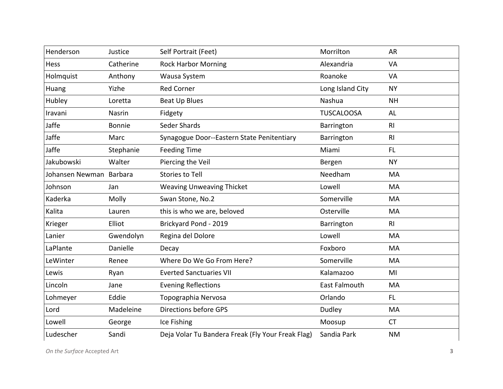| Henderson       | Justice       | Self Portrait (Feet)                              | Morrilton            | <b>AR</b>      |
|-----------------|---------------|---------------------------------------------------|----------------------|----------------|
| Hess            | Catherine     | <b>Rock Harbor Morning</b>                        | Alexandria           | <b>VA</b>      |
| Holmquist       | Anthony       | Wausa System                                      | Roanoke              | VA             |
| Huang           | Yizhe         | <b>Red Corner</b>                                 | Long Island City     | <b>NY</b>      |
| Hubley          | Loretta       | <b>Beat Up Blues</b>                              | Nashua               | <b>NH</b>      |
| Iravani         | Nasrin        | Fidgety                                           | <b>TUSCALOOSA</b>    | AL             |
| Jaffe           | <b>Bonnie</b> | Seder Shards                                      | Barrington           | R <sub>l</sub> |
| Jaffe           | Marc          | Synagogue Door--Eastern State Penitentiary        | Barrington           | R <sub>l</sub> |
| Jaffe           | Stephanie     | <b>Feeding Time</b>                               | Miami                | FL.            |
| Jakubowski      | Walter        | Piercing the Veil                                 | Bergen               | <b>NY</b>      |
| Johansen Newman | Barbara       | <b>Stories to Tell</b>                            | Needham              | MA             |
| Johnson         | Jan           | <b>Weaving Unweaving Thicket</b>                  | Lowell               | MA             |
| Kaderka         | Molly         | Swan Stone, No.2                                  | Somerville           | MA             |
| Kalita          | Lauren        | this is who we are, beloved                       | Osterville           | MA             |
| Krieger         | Elliot        | Brickyard Pond - 2019                             | Barrington           | R <sub>l</sub> |
| Lanier          | Gwendolyn     | Regina del Dolore                                 | Lowell               | MA             |
| LaPlante        | Danielle      | Decay                                             | Foxboro              | MA             |
| LeWinter        | Renee         | Where Do We Go From Here?                         | Somerville           | MA             |
| Lewis           | Ryan          | <b>Everted Sanctuaries VII</b>                    | Kalamazoo            | MI             |
| Lincoln         | Jane          | <b>Evening Reflections</b>                        | <b>East Falmouth</b> | MA             |
| Lohmeyer        | Eddie         | Topographia Nervosa                               | Orlando              | <b>FL</b>      |
| Lord            | Madeleine     | <b>Directions before GPS</b>                      | Dudley               | MA             |
| Lowell          | George        | Ice Fishing                                       | Moosup               | <b>CT</b>      |
| Ludescher       | Sandi         | Deja Volar Tu Bandera Freak (Fly Your Freak Flag) | Sandia Park          | <b>NM</b>      |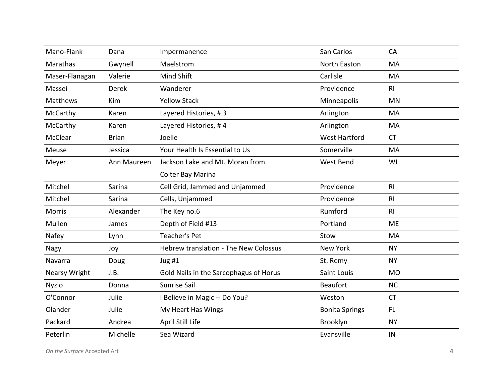| Mano-Flank           | Dana         | Impermanence                           | San Carlos            | CA             |
|----------------------|--------------|----------------------------------------|-----------------------|----------------|
| Marathas             | Gwynell      | Maelstrom                              | North Easton          | <b>MA</b>      |
| Maser-Flanagan       | Valerie      | Mind Shift                             | Carlisle              | MA             |
| Massei               | <b>Derek</b> | Wanderer                               | Providence            | R <sub>l</sub> |
| <b>Matthews</b>      | Kim          | <b>Yellow Stack</b>                    | Minneapolis           | <b>MN</b>      |
| McCarthy             | Karen        | Layered Histories, #3                  | Arlington             | MA             |
| McCarthy             | Karen        | Layered Histories, #4                  | Arlington             | <b>MA</b>      |
| McClear              | <b>Brian</b> | Joelle                                 | <b>West Hartford</b>  | <b>CT</b>      |
| Meuse                | Jessica      | Your Health Is Essential to Us         | Somerville            | MA             |
| Meyer                | Ann Maureen  | Jackson Lake and Mt. Moran from        | West Bend             | WI             |
|                      |              | Colter Bay Marina                      |                       |                |
| Mitchel              | Sarina       | Cell Grid, Jammed and Unjammed         | Providence            | R <sub>l</sub> |
| Mitchel              | Sarina       | Cells, Unjammed                        | Providence            | R <sub>l</sub> |
| <b>Morris</b>        | Alexander    | The Key no.6                           | Rumford               | R <sub>l</sub> |
| Mullen               | James        | Depth of Field #13                     | Portland              | <b>ME</b>      |
| Nafey                | Lynn         | <b>Teacher's Pet</b>                   | Stow                  | MA             |
| <b>Nagy</b>          | Joy          | Hebrew translation - The New Colossus  | <b>New York</b>       | <b>NY</b>      |
| Navarra              | Doug         | Jug#1                                  | St. Remy              | <b>NY</b>      |
| <b>Nearsy Wright</b> | J.B.         | Gold Nails in the Sarcophagus of Horus | Saint Louis           | <b>MO</b>      |
| <b>Nyzio</b>         | Donna        | <b>Sunrise Sail</b>                    | <b>Beaufort</b>       | <b>NC</b>      |
| O'Connor             | Julie        | I Believe in Magic -- Do You?          | Weston                | <b>CT</b>      |
| Olander              | Julie        | My Heart Has Wings                     | <b>Bonita Springs</b> | FL.            |
| Packard              | Andrea       | April Still Life                       | Brooklyn              | <b>NY</b>      |
| Peterlin             | Michelle     | Sea Wizard                             | Evansville            | IN             |